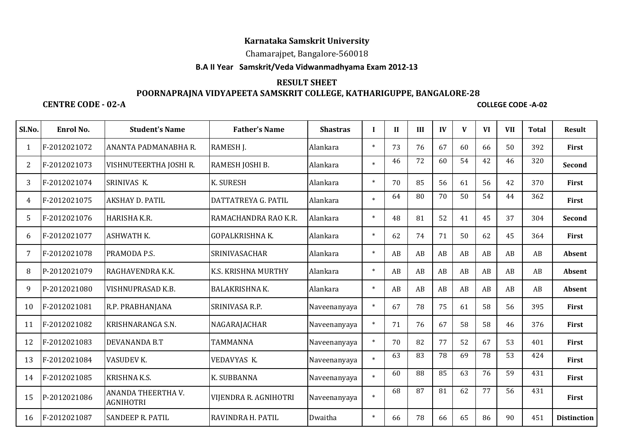# **Karnataka Samskrit University**

### Chamarajpet, Bangalore-560018

#### **B.A II Year Samskrit/Veda Vidwanmadhyama Exam 2012-13**

## **RESULT SHEET POORNAPRAJNA VIDYAPEETA SAMSKRIT COLLEGE, KATHARIGUPPE, BANGALORE-28**

#### **CENTRE CODE - 02-A**

**COLLEGE CODE -A-02**

| Sl.No. | Enrol No.    | <b>Student's Name</b>                         | <b>Father's Name</b>   | <b>Shastras</b> | $\mathbf I$ | $\mathbf{I}$ | III | IV | V  | <b>VI</b> | <b>VII</b> | <b>Total</b> | <b>Result</b>      |
|--------|--------------|-----------------------------------------------|------------------------|-----------------|-------------|--------------|-----|----|----|-----------|------------|--------------|--------------------|
|        | F-2012021072 | ANANTA PADMANABHA R.                          | RAMESH J.              | Alankara        | $\ast$      | 73           | 76  | 67 | 60 | 66        | 50         | 392          | <b>First</b>       |
| 2      | F-2012021073 | VISHNUTEERTHA JOSHI R.                        | RAMESH JOSHI B.        | Alankara        | $\ast$      | 46           | 72  | 60 | 54 | 42        | 46         | 320          | <b>Second</b>      |
| 3      | F-2012021074 | SRINIVAS K.                                   | <b>K. SURESH</b>       | Alankara        | $\ast$      | 70           | 85  | 56 | 61 | 56        | 42         | 370          | First              |
| 4      | F-2012021075 | <b>AKSHAY D. PATIL</b>                        | DATTATREYA G. PATIL    | Alankara        | $\ast$      | 64           | 80  | 70 | 50 | 54        | 44         | 362          | First              |
| 5      | F-2012021076 | <b>HARISHA K.R.</b>                           | RAMACHANDRA RAO K.R.   | Alankara        | $\ast$      | 48           | 81  | 52 | 41 | 45        | 37         | 304          | Second             |
| 6      | F-2012021077 | <b>ASHWATH K.</b>                             | <b>GOPALKRISHNA K.</b> | Alankara        | $\ast$      | 62           | 74  | 71 | 50 | 62        | 45         | 364          | First              |
| 7      | F-2012021078 | PRAMODA P.S.                                  | <b>SRINIVASACHAR</b>   | Alankara        | $\ast$      | AB           | AB  | AB | AB | AB        | AB         | AB           | Absent             |
| 8      | P-2012021079 | RAGHAVENDRA K.K.                              | K.S. KRISHNA MURTHY    | Alankara        | $\ast$      | AB           | AB  | AB | AB | AB        | AB         | AB           | Absent             |
| 9      | P-2012021080 | <b>VISHNUPRASAD K.B.</b>                      | <b>BALAKRISHNA K.</b>  | Alankara        | $\ast$      | AB           | AB  | AB | AB | AB        | AB         | AB           | Absent             |
| 10     | F-2012021081 | R.P. PRABHANJANA                              | SRINIVASA R.P.         | Naveenanyaya    | $\ast$      | 67           | 78  | 75 | 61 | 58        | 56         | 395          | First              |
| 11     | F-2012021082 | <b>KRISHNARANGA S.N.</b>                      | NAGARAJACHAR           | Naveenanyaya    | $\ast$      | 71           | 76  | 67 | 58 | 58        | 46         | 376          | First              |
| 12     | F-2012021083 | <b>DEVANANDA B.T</b>                          | <b>TAMMANNA</b>        | Naveenanyaya    | $\ast$      | 70           | 82  | 77 | 52 | 67        | 53         | 401          | <b>First</b>       |
| 13     | F-2012021084 | <b>VASUDEV K.</b>                             | <b>VEDAVYAS K.</b>     | Naveenanyaya    | $\ast$      | 63           | 83  | 78 | 69 | 78        | 53         | 424          | <b>First</b>       |
| 14     | F-2012021085 | <b>KRISHNA K.S.</b>                           | K. SUBBANNA            | Naveenanyaya    | $\ast$      | 60           | 88  | 85 | 63 | 76        | 59         | 431          | First              |
| 15     | P-2012021086 | <b>ANANDA THEERTHA V.</b><br><b>AGNIHOTRI</b> | VIJENDRA R. AGNIHOTRI  | Naveenanyaya    | $\ast$      | 68           | 87  | 81 | 62 | 77        | 56         | 431          | First              |
| 16     | F-2012021087 | <b>SANDEEP R. PATIL</b>                       | RAVINDRA H. PATIL      | Dwaitha         | $\ast$      | 66           | 78  | 66 | 65 | 86        | 90         | 451          | <b>Distinction</b> |